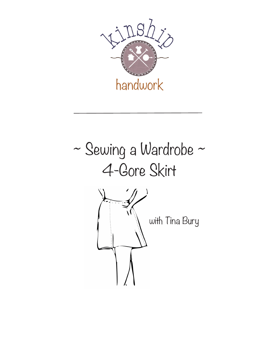

# ~ Sewing a Wardrobe ~ 4-Gore Skirt with Tina Bury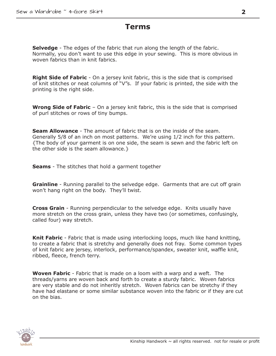# **Terms**

**Selvedge** - The edges of the fabric that run along the length of the fabric. Normally, you don't want to use this edge in your sewing. This is more obvious in woven fabrics than in knit fabrics.

**Right Side of Fabric** - On a jersey knit fabric, this is the side that is comprised of knit stitches or neat columns of "V"s. If your fabric is printed, the side with the printing is the right side.

**Wrong Side of Fabric** – On a jersey knit fabric, this is the side that is comprised of purl stitches or rows of tiny bumps.

**Seam Allowance** - The amount of fabric that is on the inside of the seam. Generally 5/8 of an inch on most patterns. We're using 1/2 inch for this pattern. {The body of your garment is on one side, the seam is sewn and the fabric left on the other side is the seam allowance.}

**Seams** - The stitches that hold a garment together

**Grainline** - Running parallel to the selvedge edge. Garments that are cut off grain won't hang right on the body. They'll twist.

**Cross Grain** - Running perpendicular to the selvedge edge. Knits usually have more stretch on the cross grain, unless they have two (or sometimes, confusingly, called four) way stretch.

**Knit Fabric** - Fabric that is made using interlocking loops, much like hand knitting, to create a fabric that is stretchy and generally does not fray. Some common types of knit fabric are jersey, interlock, performance/spandex, sweater knit, waffle knit, ribbed, fleece, french terry.

**Woven Fabric** - Fabric that is made on a loom with a warp and a weft. The threads/yarns are woven back and forth to create a sturdy fabric. Woven fabrics are very stable and do not inheritly stretch. Woven fabrics can be stretchy if they have had elastane or some similar substance woven into the fabric or if they are cut on the bias.

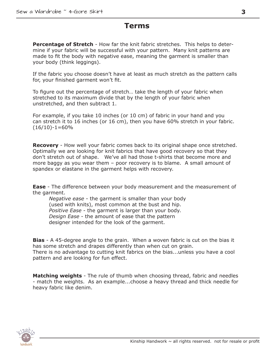# **Terms**

**Percentage of Stretch** - How far the knit fabric stretches. This helps to determine if your fabric will be successful with your pattern. Many knit patterns are made to fit the body with negative ease, meaning the garment is smaller than your body (think leggings).

If the fabric you choose doesn't have at least as much stretch as the pattern calls for, your finished garment won't fit.

To figure out the percentage of stretch… take the length of your fabric when stretched to its maximum divide that by the length of your fabric when unstretched, and then subtract 1.

For example, if you take 10 inches (or 10 cm) of fabric in your hand and you can stretch it to 16 inches (or 16 cm), then you have 60% stretch in your fabric.  $(16/10)-1=60%$ 

**Recovery** - How well your fabric comes back to its original shape once stretched. Optimally we are looking for knit fabrics that have good recovery so that they don't stretch out of shape. We've all had those t-shirts that become more and more baggy as you wear them – poor recovery is to blame. A small amount of spandex or elastane in the garment helps with recovery.

**Ease** - The difference between your body measurement and the measurement of the garment.

*Negative ease* - the garment is smaller than your body (used with knits), most common at the bust and hip. *Positive Ease* - the garment is larger than your body. *Design Ease* - the amount of ease that the pattern designer intended for the look of the garment.

**Bias** - A 45-degree angle to the grain. When a woven fabric is cut on the bias it has some stretch and drapes differently than when cut on grain. There is no advantage to cutting knit fabrics on the bias...unless you have a cool pattern and are looking for fun effect.

**Matching weights** - The rule of thumb when choosing thread, fabric and needles - match the weights. As an example...choose a heavy thread and thick needle for heavy fabric like denim.

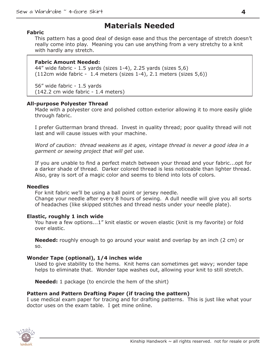# **Materials Needed**

#### **Fabric**

This pattern has a good deal of design ease and thus the percentage of stretch doesn't really come into play. Meaning you can use anything from a very stretchy to a knit with hardly any stretch.

#### **Fabric Amount Needed:**

44" wide fabric - 1.5 yards (sizes 1-4), 2.25 yards (sizes 5,6)  $(112cm$  wide fabric - 1.4 meters (sizes 1-4), 2.1 meters (sizes 5,6))

56" wide fabric - 1.5 yards (142.2 cm wide fabric - 1.4 meters)

#### **All-purpose Polyester Thread**

Made with a polyester core and polished cotton exterior allowing it to more easily glide through fabric.

I prefer Gutterman brand thread. Invest in quality thread; poor quality thread will not last and will cause issues with your machine.

*Word of caution: thread weakens as it ages, vintage thread is never a good idea in a garment or sewing project that will get use.* 

If you are unable to find a perfect match between your thread and your fabric...opt for a darker shade of thread. Darker colored thread is less noticeable than lighter thread. Also, gray is sort of a magic color and seems to blend into lots of colors.

#### **Needles**

For knit fabric we'll be using a ball point or jersey needle.

Change your needle after every 8 hours of sewing. A dull needle will give you all sorts of headaches (like skipped stitches and thread nests under your needle plate).

#### **Elastic, roughly 1 inch wide**

You have a few options...1" knit elastic or woven elastic (knit is my favorite) or fold over elastic.

**Needed:** roughly enough to go around your waist and overlap by an inch (2 cm) or so.

#### **Wonder Tape (optional), 1/4 inches wide**

Used to give stability to the hems. Knit hems can sometimes get wavy; wonder tape helps to eliminate that. Wonder tape washes out, allowing your knit to still stretch.

**Needed:** 1 package (to encircle the hem of the shirt)

#### **Pattern and Pattern Drafting Paper (if tracing the pattern)**

I use medical exam paper for tracing and for drafting patterns. This is just like what your doctor uses on the exam table. I get mine online.

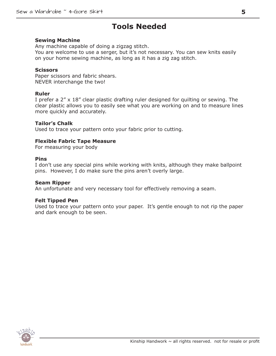# **Tools Needed**

#### **Sewing Machine**

Any machine capable of doing a zigzag stitch. You are welcome to use a serger, but it's not necessary. You can sew knits easily on your home sewing machine, as long as it has a zig zag stitch.

#### **Scissors**

Paper scissors and fabric shears. NEVER interchange the two!

#### **Ruler**

I prefer a 2" x 18" clear plastic drafting ruler designed for quilting or sewing. The clear plastic allows you to easily see what you are working on and to measure lines more quickly and accurately.

#### **Tailor's Chalk**

Used to trace your pattern onto your fabric prior to cutting.

#### **Flexible Fabric Tape Measure**

For measuring your body

#### **Pins**

I don't use any special pins while working with knits, although they make ballpoint pins. However, I do make sure the pins aren't overly large.

#### **Seam Ripper**

An unfortunate and very necessary tool for effectively removing a seam.

#### **Felt Tipped Pen**

Used to trace your pattern onto your paper. It's gentle enough to not rip the paper and dark enough to be seen.

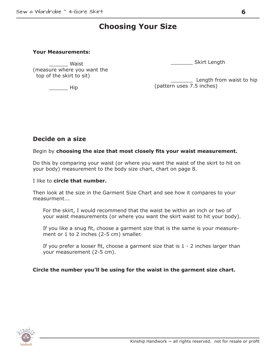# **Choosing Your Size**

#### **Your Measurements:**

\_\_\_\_\_\_ Waist (measure where you want the top of the skirt to sit)

\_\_\_\_\_\_ Hip

\_\_\_\_\_\_\_ Skirt Length

Length from waist to hip (pattern uses 7.5 inches)

## **Decide on a size**

Begin by **choosing the size that most closely fits your waist measurement.**

Do this by comparing your waist (or where you want the waist of the skirt to hit on your body) measurement to the body size chart, chart on page 8.

#### I like to **circle that number.**

Then look at the size in the Garment Size Chart and see how it compares to your measurment...

For the skirt, I would recommend that the waist be within an inch or two of your waist measurements (or where you want the skirt waist to hit your body).

If you like a snug fit, choose a garment size that is the same is your measurement or 1 to 2 inches (2-5 cm) smaller.

If you prefer a looser fit, choose a garment size that is 1 - 2 inches larger than your measurement (2-5 cm).

#### **Circle the number you'll be using for the waist in the garment size chart.**

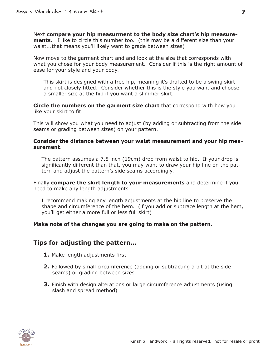Next **compare your hip measurment to the body size chart's hip measurements.** I like to circle this number too. (this may be a different size than your waist...that means you'll likely want to grade between sizes)

Now move to the garment chart and and look at the size that corresponds with what you chose for your body measurement. Consider if this is the right amount of ease for your style and your body.

This skirt is designed with a free hip, meaning it's drafted to be a swing skirt and not closely fitted. Consider whether this is the style you want and choose a smaller size at the hip if you want a slimmer skirt.

**Circle the numbers on the garment size chart** that correspond with how you like your skirt to fit.

This will show you what you need to adjust (by adding or subtracting from the side seams or grading between sizes) on your pattern.

#### **Consider the distance between your waist measurement and your hip measurement**.

The pattern assumes a 7.5 inch (19cm) drop from waist to hip. If your drop is significantly different than that, you may want to draw your hip line on the pattern and adjust the pattern's side seams accordingly.

Finally **compare the skirt length to your measurements** and determine if you need to make any length adjustments.

I recommend making any length adjustments at the hip line to preserve the shape and circumference of the hem. (if you add or subtrace length at the hem, you'll get either a more full or less full skirt)

#### **Make note of the changes you are going to make on the pattern.**

## **Tips for adjusting the pattern...**

- **1.** Make length adjustments first
- **2.** Followed by small circumference (adding or subtracting a bit at the side seams) or grading between sizes
- **3.** Finish with design alterations or large circumference adjustments (using slash and spread method)

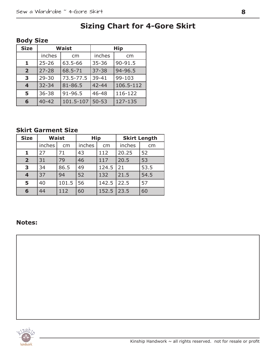# **Sizing Chart for 4-Gore Skirt**

| <b>Size</b>             |           | <b>Waist</b> | <b>Hip</b> |             |  |
|-------------------------|-----------|--------------|------------|-------------|--|
|                         | inches    | cm           | inches     | cm          |  |
| 1                       | $25 - 26$ | 63.5-66      | $35 - 36$  | 90-91.5     |  |
| $\overline{2}$          | $27 - 28$ | 68.5-71      | $37 - 38$  | $94 - 96.5$ |  |
| 3                       | $29 - 30$ | 73.5-77.5    | $39 - 41$  | 99-103      |  |
| $\overline{\mathbf{4}}$ | $32 - 34$ | 81-86.5      | $42 - 44$  | 106.5-112   |  |
| 5                       | $36 - 38$ | 91-96.5      | 46-48      | 116-122     |  |
| 6                       | $40 - 42$ | 101.5-107    | $50 - 53$  | 127-135     |  |

# **Body Size**

# **Skirt Garment Size**

| <b>Size</b>             | <b>Waist</b> |       | <b>Hip</b> |       | <b>Skirt Length</b> |      |
|-------------------------|--------------|-------|------------|-------|---------------------|------|
|                         | inches       | cm    | inches     | cm    | inches              | cm   |
| $\mathbf{1}$            | 27           | 71    | 43         | 112   | 20.25               | 52   |
| $\overline{2}$          | 31           | 79    | 46         | 117   | 20.5                | 53   |
| 3                       | 34           | 86.5  | 49         | 124.5 | $ 21$               | 53.5 |
| $\overline{\mathbf{4}}$ | 37           | 94    | 52         | 132   | 21.5                | 54.5 |
| 5                       | 40           | 101.5 | 56         | 142.5 | 22.5                | 57   |
| 6                       | 44           | 112   | 60         | 152.5 | 23.5                | 60   |

## **Notes:**

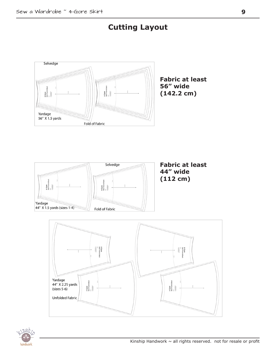# **Cutting Layout**







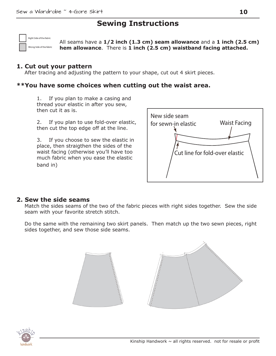# **Sewing Instructions**

Right Side of the fabric

Wrong Side of the fabric

All seams have a **1/2 inch (1.3 cm) seam allowance** and a **1 inch (2.5 cm) hem allowance**. There is **1 inch (2.5 cm) waistband facing attached.**

## **1. Cut out your pattern**

After tracing and adjusting the pattern to your shape, cut out 4 skirt pieces.

## **\*\*You have some choices when cutting out the waist area.**

1. If you plan to make a casing and thread your elastic in after you sew, then cut it as is.

2. If you plan to use fold-over elastic, then cut the top edge off at the line.

3. If you choose to sew the elastic in place, then straigthen the sides of the waist facing (otherwise you'll have too much fabric when you ease the elastic band in)



## **2. Sew the side seams**

Match the sides seams of the two of the fabric pieces with right sides together. Sew the side seam with your favorite stretch stitch.

Do the same with the remaining two skirt panels. Then match up the two sewn pieces, right sides together, and sew those side seams.



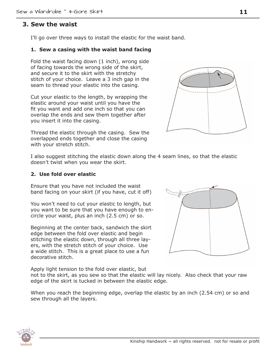## **3. Sew the waist**

I'll go over three ways to install the elastic for the waist band.

#### **1. Sew a casing with the waist band facing**

Fold the waist facing down (1 inch), wrong side of facing towards the wrong side of the skirt, and secure it to the skirt with the stretchy stitch of your choice. Leave a 3 inch gap in the seam to thread your elastic into the casing.

Cut your elastic to the length, by wrapping the elastic around your waist until you have the fit you want and add one inch so that you can overlap the ends and sew them together after you insert it into the casing.

Thread the elastic through the casing. Sew the overlapped ends together and close the casing with your stretch stitch.

I also suggest stitching the elastic down along the 4 seam lines, so that the elastic doesn't twist when you wear the skirt.

#### **2. Use fold over elastic**

Ensure that you have not included the waist band facing on your skirt (if you have, cut it off)

You won't need to cut your elastic to length, but you want to be sure that you have enough to encircle your waist, plus an inch (2.5 cm) or so.

Beginning at the center back, sandwich the skirt edge between the fold over elastic and begin stitching the elastic down, through all three layers, with the stretch stitch of your choice. Use a wide stitch. This is a great place to use a fun decorative stitch.

Apply light tension to the fold over elastic, but

not to the skirt, as you sew so that the elastic will lay nicely. Also check that your raw edge of the skirt is tucked in between the elastic edge.

When you reach the beginning edge, overlap the elastic by an inch (2.54 cm) or so and sew through all the layers.





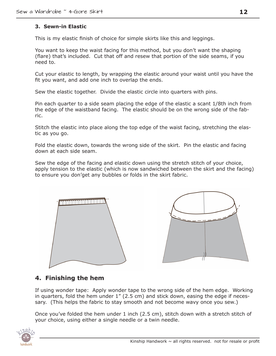## **3. Sewn-in Elastic**

This is my elastic finish of choice for simple skirts like this and leggings.

You want to keep the waist facing for this method, but you don't want the shaping (flare) that's included. Cut that off and resew that portion of the side seams, if you need to.

Cut your elastic to length, by wrapping the elastic around your waist until you have the fit you want, and add one inch to overlap the ends.

Sew the elastic together. Divide the elastic circle into quarters with pins.

Pin each quarter to a side seam placing the edge of the elastic a scant 1/8th inch from the edge of the waistband facing. The elastic should be on the wrong side of the fabric.

Stitch the elastic into place along the top edge of the waist facing, stretching the elastic as you go.

Fold the elastic down, towards the wrong side of the skirt. Pin the elastic and facing down at each side seam.

Sew the edge of the facing and elastic down using the stretch stitch of your choice, apply tension to the elastic (which is now sandwiched between the skirt and the facing) to ensure you don'get any bubbles or folds in the skirt fabric.





# **4. Finishing the hem**

If using wonder tape: Apply wonder tape to the wrong side of the hem edge. Working in quarters, fold the hem under 1" (2.5 cm) and stick down, easing the edge if necessary. (This helps the fabric to stay smooth and not become wavy once you sew.)

Once you've folded the hem under 1 inch (2.5 cm), stitch down with a stretch stitch of your choice, using either a single needle or a twin needle.